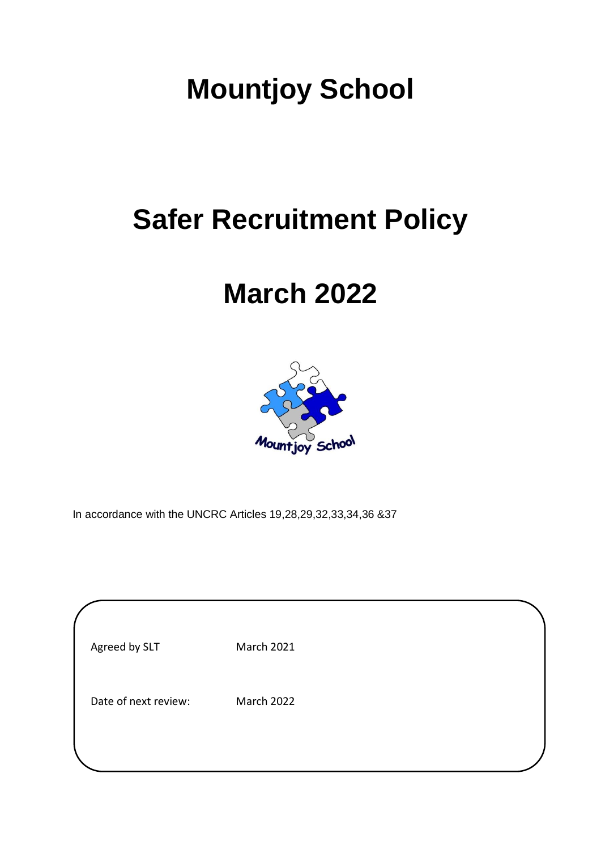# **Mountjoy School**

# **Safer Recruitment Policy**

# **March 2022**



In accordance with the UNCRC Articles 19,28,29,32,33,34,36 &37

| Agreed by SLT        | <b>March 2021</b> |  |
|----------------------|-------------------|--|
| Date of next review: | March 2022        |  |
|                      |                   |  |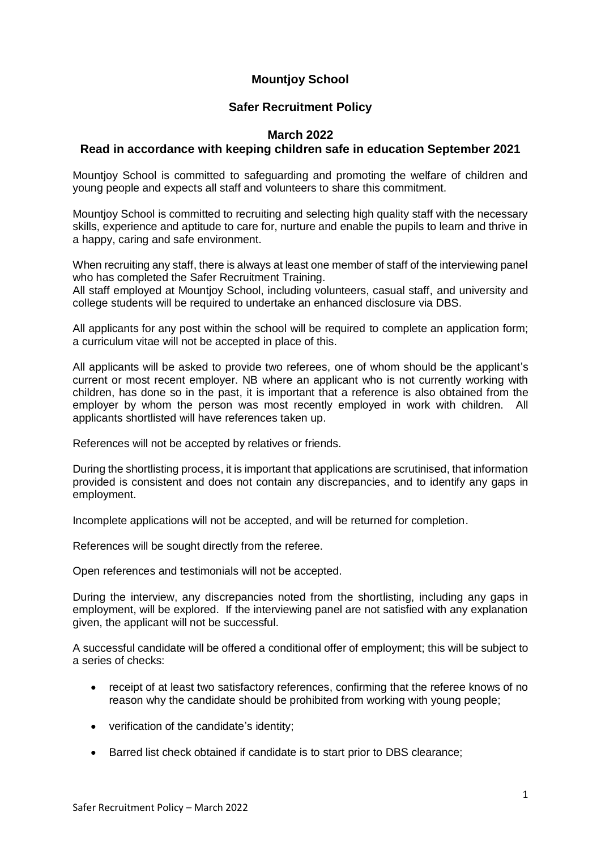## **Mountjoy School**

### **Safer Recruitment Policy**

### **March 2022**

#### **Read in accordance with keeping children safe in education September 2021**

Mountjoy School is committed to safeguarding and promoting the welfare of children and young people and expects all staff and volunteers to share this commitment.

Mountjoy School is committed to recruiting and selecting high quality staff with the necessary skills, experience and aptitude to care for, nurture and enable the pupils to learn and thrive in a happy, caring and safe environment.

When recruiting any staff, there is always at least one member of staff of the interviewing panel who has completed the Safer Recruitment Training.

All staff employed at Mountjoy School, including volunteers, casual staff, and university and college students will be required to undertake an enhanced disclosure via DBS.

All applicants for any post within the school will be required to complete an application form; a curriculum vitae will not be accepted in place of this.

All applicants will be asked to provide two referees, one of whom should be the applicant's current or most recent employer. NB where an applicant who is not currently working with children, has done so in the past, it is important that a reference is also obtained from the employer by whom the person was most recently employed in work with children. All applicants shortlisted will have references taken up.

References will not be accepted by relatives or friends.

During the shortlisting process, it is important that applications are scrutinised, that information provided is consistent and does not contain any discrepancies, and to identify any gaps in employment.

Incomplete applications will not be accepted, and will be returned for completion.

References will be sought directly from the referee.

Open references and testimonials will not be accepted.

During the interview, any discrepancies noted from the shortlisting, including any gaps in employment, will be explored. If the interviewing panel are not satisfied with any explanation given, the applicant will not be successful.

A successful candidate will be offered a conditional offer of employment; this will be subject to a series of checks:

- receipt of at least two satisfactory references, confirming that the referee knows of no reason why the candidate should be prohibited from working with young people;
- verification of the candidate's identity;
- Barred list check obtained if candidate is to start prior to DBS clearance: